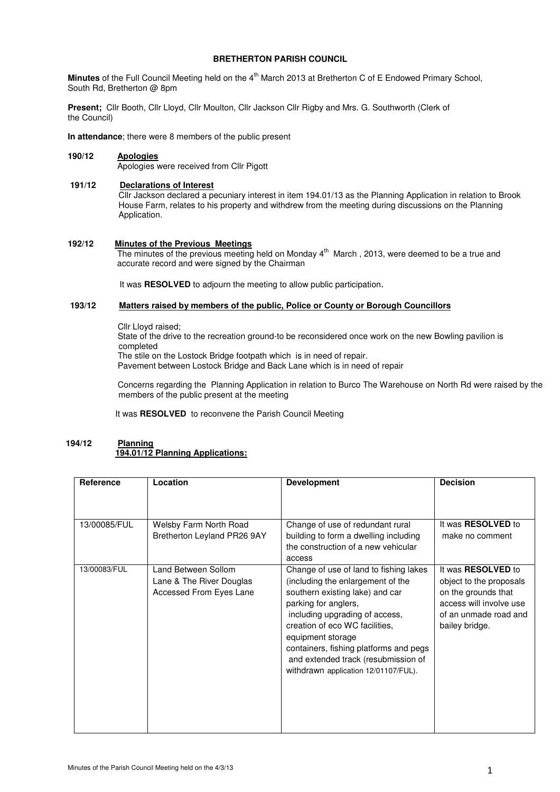# **BRETHERTON PARISH COUNCIL**

**Minutes** of the Full Council Meeting held on the 4<sup>th</sup> March 2013 at Bretherton C of E Endowed Primary School, South Rd, Bretherton @ 8pm

**Present;** Cllr Booth, Cllr Lloyd, Cllr Moulton, Cllr Jackson Cllr Rigby and Mrs. G. Southworth (Clerk of the Council)

**In attendance**; there were 8 members of the public present

# **190/12 Apologies**

Apologies were received from Cllr Pigott

### **191/12 Declarations of Interest**

Cllr Jackson declared a pecuniary interest in item 194.01/13 as the Planning Application in relation to Brook House Farm, relates to his property and withdrew from the meeting during discussions on the Planning Application.

## **192/12 Minutes of the Previous Meetings**

The minutes of the previous meeting held on Monday 4<sup>th</sup> March, 2013, were deemed to be a true and accurate record and were signed by the Chairman

It was **RESOLVED** to adjourn the meeting to allow public participation.

### **193/12 Matters raised by members of the public, Police or County or Borough Councillors**

Cllr Lloyd raised;

State of the drive to the recreation ground-to be reconsidered once work on the new Bowling pavilion is completed

The stile on the Lostock Bridge footpath which is in need of repair.

Pavement between Lostock Bridge and Back Lane which is in need of repair

 Concerns regarding the Planning Application in relation to Burco The Warehouse on North Rd were raised by the members of the public present at the meeting

It was **RESOLVED** to reconvene the Parish Council Meeting

## **194/12 Planning 194.01/12 Planning Applications:**

| Reference    | Location                                                                   | <b>Development</b>                                                                                                                                                                                                                                                                                                                                       | <b>Decision</b>                                                                                                                                   |  |
|--------------|----------------------------------------------------------------------------|----------------------------------------------------------------------------------------------------------------------------------------------------------------------------------------------------------------------------------------------------------------------------------------------------------------------------------------------------------|---------------------------------------------------------------------------------------------------------------------------------------------------|--|
|              |                                                                            |                                                                                                                                                                                                                                                                                                                                                          |                                                                                                                                                   |  |
| 13/00085/FUL | Welsby Farm North Road<br>Bretherton Leyland PR26 9AY                      | Change of use of redundant rural<br>building to form a dwelling including<br>the construction of a new vehicular<br>access                                                                                                                                                                                                                               | It was <b>RESOLVED</b> to<br>make no comment                                                                                                      |  |
| 13/00083/FUL | Land Between Sollom<br>Lane & The River Douglas<br>Accessed From Eyes Lane | Change of use of land to fishing lakes<br>(including the enlargement of the<br>southern existing lake) and car<br>parking for anglers,<br>including upgrading of access,<br>creation of eco WC facilities,<br>equipment storage<br>containers, fishing platforms and pegs<br>and extended track (resubmission of<br>withdrawn application 12/01107/FUL). | It was <b>RESOLVED</b> to<br>object to the proposals<br>on the grounds that<br>access will involve use<br>of an unmade road and<br>bailey bridge. |  |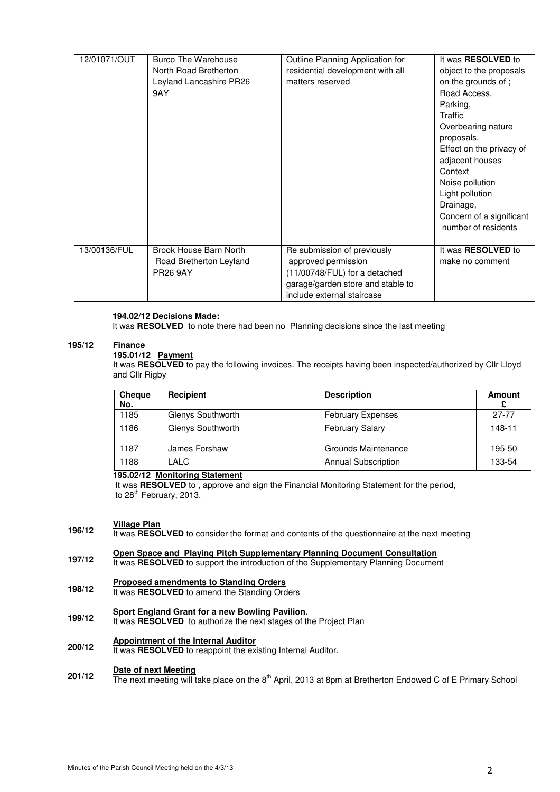| 12/01071/OUT | Burco The Warehouse<br>North Road Bretherton<br>Leyland Lancashire PR26<br>9AY | Outline Planning Application for<br>residential development with all<br>matters reserved                                                               | It was RESOLVED to<br>object to the proposals<br>on the grounds of;<br>Road Access,<br>Parking,<br>Traffic<br>Overbearing nature<br>proposals.<br>Effect on the privacy of<br>adjacent houses<br>Context<br>Noise pollution<br>Light pollution<br>Drainage,<br>Concern of a significant<br>number of residents |
|--------------|--------------------------------------------------------------------------------|--------------------------------------------------------------------------------------------------------------------------------------------------------|----------------------------------------------------------------------------------------------------------------------------------------------------------------------------------------------------------------------------------------------------------------------------------------------------------------|
| 13/00136/FUL | Brook House Barn North<br>Road Bretherton Leyland<br><b>PR26 9AY</b>           | Re submission of previously<br>approved permission<br>(11/00748/FUL) for a detached<br>garage/garden store and stable to<br>include external staircase | It was <b>RESOLVED</b> to<br>make no comment                                                                                                                                                                                                                                                                   |

### **194.02/12 Decisions Made:**

It was **RESOLVED** to note there had been no Planning decisions since the last meeting

#### **195/12 Finance**

## **195.01/12 Payment**

It was **RESOLVED** to pay the following invoices. The receipts having been inspected/authorized by Cllr Lloyd and Cllr Rigby

| <b>Cheque</b><br>No. | <b>Recipient</b>  | <b>Description</b>         | <b>Amount</b> |
|----------------------|-------------------|----------------------------|---------------|
| 1185                 | Glenys Southworth | <b>February Expenses</b>   | $27 - 77$     |
| 1186                 | Glenys Southworth | <b>February Salary</b>     | 148-11        |
| 1187                 | James Forshaw     | Grounds Maintenance        | 195-50        |
| 1188                 | LALC              | <b>Annual Subscription</b> | 133-54        |

# **195.02/12 Monitoring Statement**

 It was **RESOLVED** to , approve and sign the Financial Monitoring Statement for the period, to 28<sup>th</sup> February, 2013.

### **196/12 Village Plan**

- It was **RESOLVED** to consider the format and contents of the questionnaire at the next meeting
- **197/12 Open Space and Playing Pitch Supplementary Planning Document Consultation**
- It was **RESOLVED** to support the introduction of the Supplementary Planning Document

### **198/12 Proposed amendments to Standing Orders**

- It was **RESOLVED** to amend the Standing Orders
- **Sport England Grant for a new Bowling Pavilion.**
- **199/12**  It was **RESOLVED** to authorize the next stages of the Project Plan

### **200/12 Appointment of the Internal Auditor**

It was RESOLVED to reappoint the existing Internal Auditor.

### **201/12 Date of next Meeting**

The next meeting will take place on the 8<sup>th</sup> April, 2013 at 8pm at Bretherton Endowed C of E Primary School